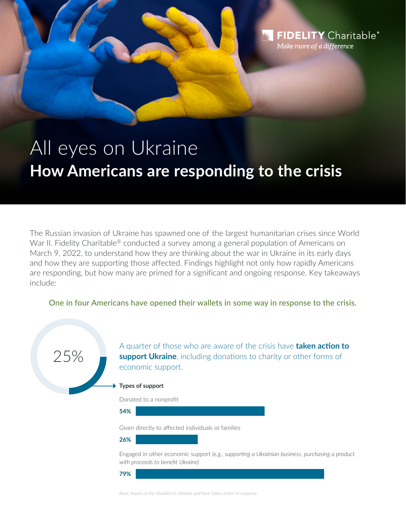# All eyes on Ukraine **How Americans are responding to the crisis**

**FIDELITY** Charitable®

Make more of a difference

The Russian invasion of Ukraine has spawned one of the largest humanitarian crises since World War II. Fidelity Charitable® conducted a survey among a general population of Americans on March 9, 2022, to understand how they are thinking about the war in Ukraine in its early days and how they are supporting those affected. Findings highlight not only how rapidly Americans are responding, but how many are primed for a significant and ongoing response. Key takeaways include:

One in four Americans have opened their wallets in some way in response to the crisis.



*Base: Aware of the situation in Ukraine and have taken action in response*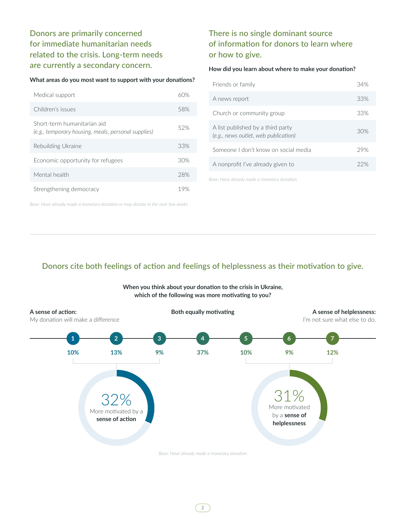Donors are primarily concerned for immediate humanitarian needs related to the crisis. Long-term needs are currently a secondary concern.

## **What areas do you most want to support with your donations?**

| Medical support                                                                    | 60% |
|------------------------------------------------------------------------------------|-----|
| Children's issues                                                                  | 58% |
| Short-term humanitarian aid<br>(e.g., temporary housing, meals, personal supplies) | 52% |
| Rebuilding Ukraine                                                                 | 33% |
| Economic opportunity for refugees                                                  | 30% |
| Mental health                                                                      | 28% |
| Strengthening democracy                                                            | 19% |

*Base: Have already made a monetary donation or may donate in the next few weeks*

# There is no single dominant source of information for donors to learn where or how to give.

## **How did you learn about where to make your donation?**

| Friends or family                                                         | 34% |
|---------------------------------------------------------------------------|-----|
| A news report                                                             | 33% |
| Church or community group                                                 | 33% |
| A list published by a third party<br>(e.g., news outlet, web publication) | 30% |
| Someone Ldon't know on social media                                       | 29% |
| A nonprofit I've already given to                                         | 22% |
|                                                                           |     |

*Base: Have already made a monetary donation*

## Donors cite both feelings of action and feelings of helplessness as their motivation to give.



**When you think about your donation to the crisis in Ukraine, which of the following was more motivating to you?**

**2**